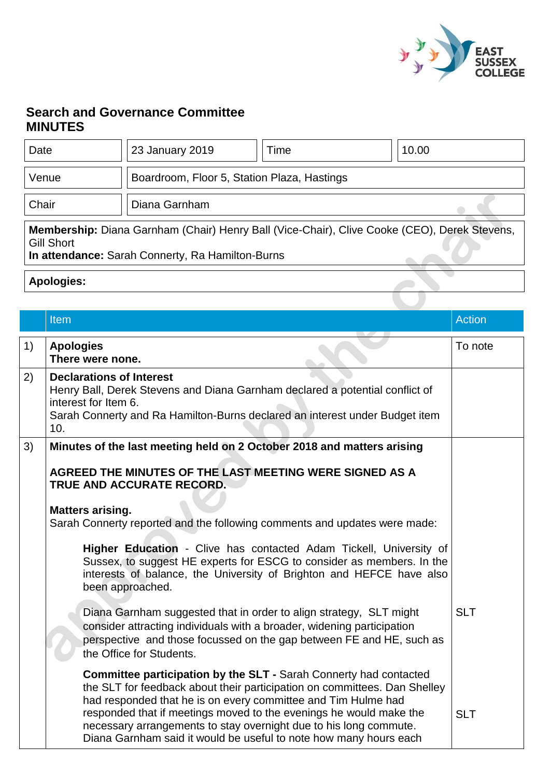

## **Search and Governance Committee MINUTES**

| Date                                                                                                                                                                  | 23 January 2019                             | Time | 10.00 |
|-----------------------------------------------------------------------------------------------------------------------------------------------------------------------|---------------------------------------------|------|-------|
| Venue                                                                                                                                                                 | Boardroom, Floor 5, Station Plaza, Hastings |      |       |
| Chair                                                                                                                                                                 | Diana Garnham                               |      |       |
| Membership: Diana Garnham (Chair) Henry Ball (Vice-Chair), Clive Cooke (CEO), Derek Stevens,<br><b>Gill Short</b><br>In attendance: Sarah Connerty, Ra Hamilton-Burns |                                             |      |       |
| <b>Apologies:</b>                                                                                                                                                     |                                             |      |       |

|    | <b>Item</b>                                                                                                                                                                                                                                                                                                                                                                                                                            | <b>Action</b> |
|----|----------------------------------------------------------------------------------------------------------------------------------------------------------------------------------------------------------------------------------------------------------------------------------------------------------------------------------------------------------------------------------------------------------------------------------------|---------------|
| 1) | <b>Apologies</b><br>There were none.                                                                                                                                                                                                                                                                                                                                                                                                   | To note       |
| 2) | <b>Declarations of Interest</b><br>Henry Ball, Derek Stevens and Diana Garnham declared a potential conflict of<br>interest for Item 6.<br>Sarah Connerty and Ra Hamilton-Burns declared an interest under Budget item<br>10.                                                                                                                                                                                                          |               |
| 3) | Minutes of the last meeting held on 2 October 2018 and matters arising                                                                                                                                                                                                                                                                                                                                                                 |               |
|    | AGREED THE MINUTES OF THE LAST MEETING WERE SIGNED AS A<br>TRUE AND ACCURATE RECORD.                                                                                                                                                                                                                                                                                                                                                   |               |
|    | <b>Matters arising.</b><br>Sarah Connerty reported and the following comments and updates were made:                                                                                                                                                                                                                                                                                                                                   |               |
|    | Higher Education - Clive has contacted Adam Tickell, University of<br>Sussex, to suggest HE experts for ESCG to consider as members. In the<br>interests of balance, the University of Brighton and HEFCE have also<br>been approached.                                                                                                                                                                                                |               |
|    | Diana Garnham suggested that in order to align strategy, SLT might<br>consider attracting individuals with a broader, widening participation<br>perspective and those focussed on the gap between FE and HE, such as<br>the Office for Students.                                                                                                                                                                                       | <b>SLT</b>    |
|    | <b>Committee participation by the SLT - Sarah Connerty had contacted</b><br>the SLT for feedback about their participation on committees. Dan Shelley<br>had responded that he is on every committee and Tim Hulme had<br>responded that if meetings moved to the evenings he would make the<br>necessary arrangements to stay overnight due to his long commute.<br>Diana Garnham said it would be useful to note how many hours each | <b>SLT</b>    |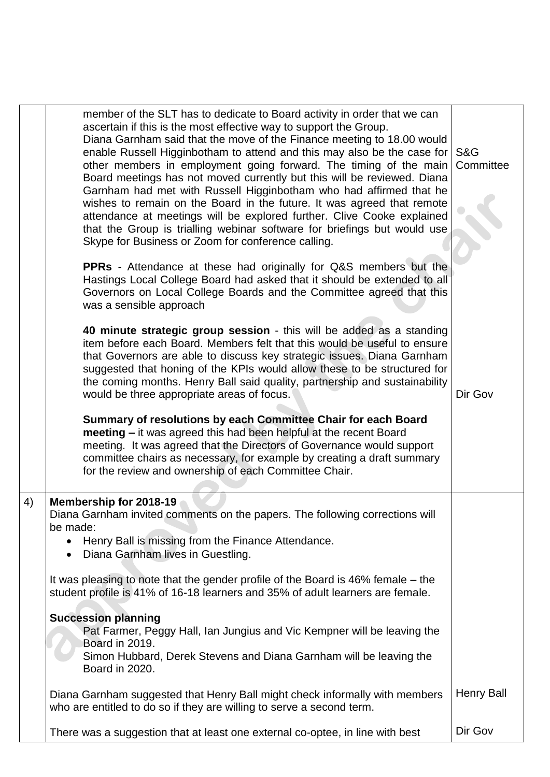|    | member of the SLT has to dedicate to Board activity in order that we can<br>ascertain if this is the most effective way to support the Group.<br>Diana Garnham said that the move of the Finance meeting to 18.00 would<br>enable Russell Higginbotham to attend and this may also be the case for<br>other members in employment going forward. The timing of the main<br>Board meetings has not moved currently but this will be reviewed. Diana<br>Garnham had met with Russell Higginbotham who had affirmed that he<br>wishes to remain on the Board in the future. It was agreed that remote<br>attendance at meetings will be explored further. Clive Cooke explained<br>that the Group is trialling webinar software for briefings but would use<br>Skype for Business or Zoom for conference calling. | <b>S&amp;G</b><br>Committee |
|----|----------------------------------------------------------------------------------------------------------------------------------------------------------------------------------------------------------------------------------------------------------------------------------------------------------------------------------------------------------------------------------------------------------------------------------------------------------------------------------------------------------------------------------------------------------------------------------------------------------------------------------------------------------------------------------------------------------------------------------------------------------------------------------------------------------------|-----------------------------|
|    | <b>PPRs</b> - Attendance at these had originally for Q&S members but the<br>Hastings Local College Board had asked that it should be extended to all<br>Governors on Local College Boards and the Committee agreed that this<br>was a sensible approach                                                                                                                                                                                                                                                                                                                                                                                                                                                                                                                                                        |                             |
|    | 40 minute strategic group session - this will be added as a standing<br>item before each Board. Members felt that this would be useful to ensure<br>that Governors are able to discuss key strategic issues. Diana Garnham<br>suggested that honing of the KPIs would allow these to be structured for<br>the coming months. Henry Ball said quality, partnership and sustainability<br>would be three appropriate areas of focus.                                                                                                                                                                                                                                                                                                                                                                             | Dir Gov                     |
|    | Summary of resolutions by each Committee Chair for each Board<br>meeting – it was agreed this had been helpful at the recent Board<br>meeting. It was agreed that the Directors of Governance would support<br>committee chairs as necessary, for example by creating a draft summary<br>for the review and ownership of each Committee Chair.                                                                                                                                                                                                                                                                                                                                                                                                                                                                 |                             |
| 4) | Membership for 2018-19<br>Diana Garnham invited comments on the papers. The following corrections will                                                                                                                                                                                                                                                                                                                                                                                                                                                                                                                                                                                                                                                                                                         |                             |
|    | be made:<br>Henry Ball is missing from the Finance Attendance.<br>Diana Garnham lives in Guestling.                                                                                                                                                                                                                                                                                                                                                                                                                                                                                                                                                                                                                                                                                                            |                             |
|    | It was pleasing to note that the gender profile of the Board is 46% female – the<br>student profile is 41% of 16-18 learners and 35% of adult learners are female.                                                                                                                                                                                                                                                                                                                                                                                                                                                                                                                                                                                                                                             |                             |
|    | <b>Succession planning</b><br>Pat Farmer, Peggy Hall, Ian Jungius and Vic Kempner will be leaving the<br>Board in 2019.<br>Simon Hubbard, Derek Stevens and Diana Garnham will be leaving the<br>Board in 2020.                                                                                                                                                                                                                                                                                                                                                                                                                                                                                                                                                                                                |                             |
|    | Diana Garnham suggested that Henry Ball might check informally with members<br>who are entitled to do so if they are willing to serve a second term.                                                                                                                                                                                                                                                                                                                                                                                                                                                                                                                                                                                                                                                           | <b>Henry Ball</b>           |
|    | There was a suggestion that at least one external co-optee, in line with best                                                                                                                                                                                                                                                                                                                                                                                                                                                                                                                                                                                                                                                                                                                                  | Dir Gov                     |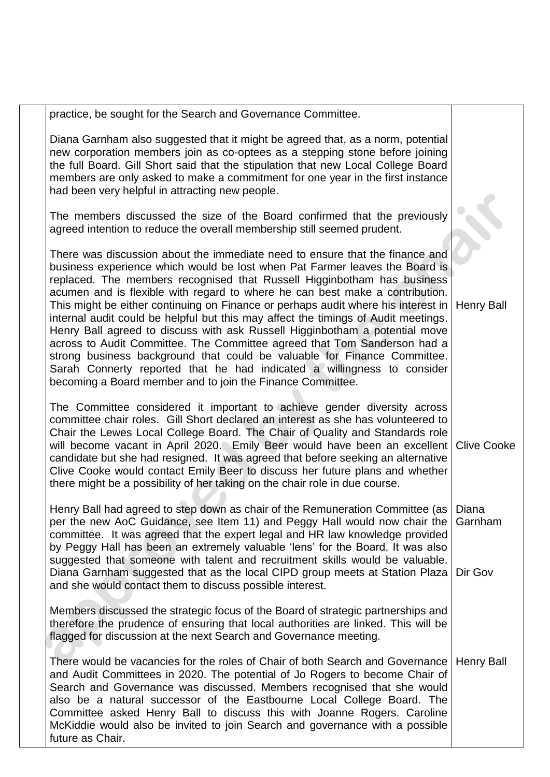| practice, be sought for the Search and Governance Committee.                                                                                                                                                                                                                                                                                                                                                                                                                                                                                                                                                                                                                                                                                                                                                                                                                      |                   |
|-----------------------------------------------------------------------------------------------------------------------------------------------------------------------------------------------------------------------------------------------------------------------------------------------------------------------------------------------------------------------------------------------------------------------------------------------------------------------------------------------------------------------------------------------------------------------------------------------------------------------------------------------------------------------------------------------------------------------------------------------------------------------------------------------------------------------------------------------------------------------------------|-------------------|
| Diana Garnham also suggested that it might be agreed that, as a norm, potential<br>new corporation members join as co-optees as a stepping stone before joining<br>the full Board. Gill Short said that the stipulation that new Local College Board<br>members are only asked to make a commitment for one year in the first instance<br>had been very helpful in attracting new people.                                                                                                                                                                                                                                                                                                                                                                                                                                                                                         |                   |
| The members discussed the size of the Board confirmed that the previously<br>agreed intention to reduce the overall membership still seemed prudent.                                                                                                                                                                                                                                                                                                                                                                                                                                                                                                                                                                                                                                                                                                                              |                   |
| There was discussion about the immediate need to ensure that the finance and<br>business experience which would be lost when Pat Farmer leaves the Board is<br>replaced. The members recognised that Russell Higginbotham has business<br>acumen and is flexible with regard to where he can best make a contribution.<br>This might be either continuing on Finance or perhaps audit where his interest in<br>internal audit could be helpful but this may affect the timings of Audit meetings.<br>Henry Ball agreed to discuss with ask Russell Higginbotham a potential move<br>across to Audit Committee. The Committee agreed that Tom Sanderson had a<br>strong business background that could be valuable for Finance Committee.<br>Sarah Connerty reported that he had indicated a willingness to consider<br>becoming a Board member and to join the Finance Committee. | <b>Henry Ball</b> |
| The Committee considered it important to achieve gender diversity across<br>committee chair roles. Gill Short declared an interest as she has volunteered to<br>Chair the Lewes Local College Board. The Chair of Quality and Standards role<br>will become vacant in April 2020. Emily Beer would have been an excellent Clive Cooke<br>candidate but she had resigned. It was agreed that before seeking an alternative<br>Clive Cooke would contact Emily Beer to discuss her future plans and whether<br>there might be a possibility of her taking on the chair role in due course.                                                                                                                                                                                                                                                                                          |                   |
| Henry Ball had agreed to step down as chair of the Remuneration Committee (as  <br>per the new AoC Guidance, see Item 11) and Peggy Hall would now chair the<br>committee. It was agreed that the expert legal and HR law knowledge provided<br>by Peggy Hall has been an extremely valuable 'lens' for the Board. It was also<br>suggested that someone with talent and recruitment skills would be valuable.<br>Diana Garnham suggested that as the local CIPD group meets at Station Plaza   Dir Gov<br>and she would contact them to discuss possible interest.                                                                                                                                                                                                                                                                                                               | Diana<br>Garnham  |
| Members discussed the strategic focus of the Board of strategic partnerships and<br>therefore the prudence of ensuring that local authorities are linked. This will be<br>flagged for discussion at the next Search and Governance meeting.                                                                                                                                                                                                                                                                                                                                                                                                                                                                                                                                                                                                                                       |                   |
| There would be vacancies for the roles of Chair of both Search and Governance<br>and Audit Committees in 2020. The potential of Jo Rogers to become Chair of<br>Search and Governance was discussed. Members recognised that she would<br>also be a natural successor of the Eastbourne Local College Board. The<br>Committee asked Henry Ball to discuss this with Joanne Rogers. Caroline<br>McKiddie would also be invited to join Search and governance with a possible<br>future as Chair.                                                                                                                                                                                                                                                                                                                                                                                   | <b>Henry Ball</b> |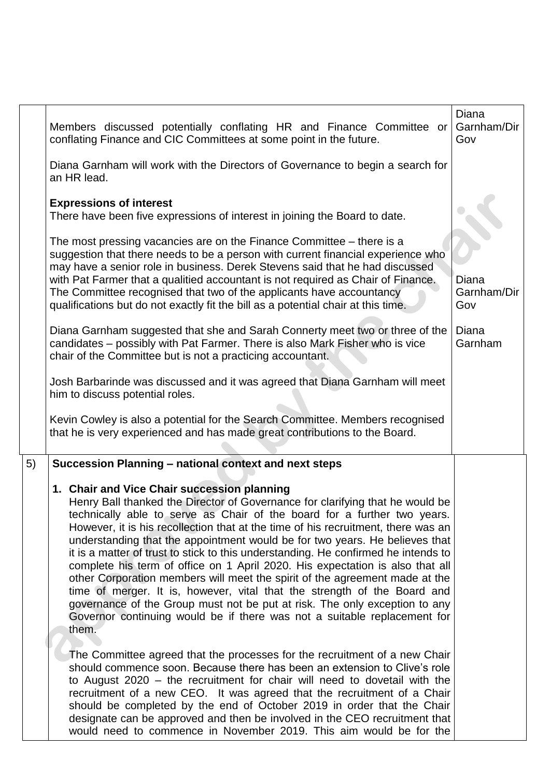|    | Members discussed potentially conflating HR and Finance Committee or<br>conflating Finance and CIC Committees at some point in the future.                                                                                                                                                                                                                                                                                                                                                                                                                                                                                                                                                                                                                                                                                                                                        | Diana<br>Garnham/Dir<br>Gov |
|----|-----------------------------------------------------------------------------------------------------------------------------------------------------------------------------------------------------------------------------------------------------------------------------------------------------------------------------------------------------------------------------------------------------------------------------------------------------------------------------------------------------------------------------------------------------------------------------------------------------------------------------------------------------------------------------------------------------------------------------------------------------------------------------------------------------------------------------------------------------------------------------------|-----------------------------|
|    | Diana Garnham will work with the Directors of Governance to begin a search for<br>an HR lead.                                                                                                                                                                                                                                                                                                                                                                                                                                                                                                                                                                                                                                                                                                                                                                                     |                             |
|    | <b>Expressions of interest</b><br>There have been five expressions of interest in joining the Board to date.                                                                                                                                                                                                                                                                                                                                                                                                                                                                                                                                                                                                                                                                                                                                                                      |                             |
|    | The most pressing vacancies are on the Finance Committee – there is a<br>suggestion that there needs to be a person with current financial experience who<br>may have a senior role in business. Derek Stevens said that he had discussed<br>with Pat Farmer that a qualitied accountant is not required as Chair of Finance.<br>The Committee recognised that two of the applicants have accountancy<br>qualifications but do not exactly fit the bill as a potential chair at this time.                                                                                                                                                                                                                                                                                                                                                                                        | Diana<br>Garnham/Dir<br>Gov |
|    | Diana Garnham suggested that she and Sarah Connerty meet two or three of the<br>candidates - possibly with Pat Farmer. There is also Mark Fisher who is vice<br>chair of the Committee but is not a practicing accountant.                                                                                                                                                                                                                                                                                                                                                                                                                                                                                                                                                                                                                                                        | Diana<br>Garnham            |
|    | Josh Barbarinde was discussed and it was agreed that Diana Garnham will meet<br>him to discuss potential roles.                                                                                                                                                                                                                                                                                                                                                                                                                                                                                                                                                                                                                                                                                                                                                                   |                             |
|    | Kevin Cowley is also a potential for the Search Committee. Members recognised<br>that he is very experienced and has made great contributions to the Board.                                                                                                                                                                                                                                                                                                                                                                                                                                                                                                                                                                                                                                                                                                                       |                             |
| 5) | Succession Planning - national context and next steps                                                                                                                                                                                                                                                                                                                                                                                                                                                                                                                                                                                                                                                                                                                                                                                                                             |                             |
|    | 1. Chair and Vice Chair succession planning<br>Henry Ball thanked the Director of Governance for clarifying that he would be<br>technically able to serve as Chair of the board for a further two years.<br>However, it is his recollection that at the time of his recruitment, there was an<br>understanding that the appointment would be for two years. He believes that<br>it is a matter of trust to stick to this understanding. He confirmed he intends to<br>complete his term of office on 1 April 2020. His expectation is also that all<br>other Corporation members will meet the spirit of the agreement made at the<br>time of merger. It is, however, vital that the strength of the Board and<br>governance of the Group must not be put at risk. The only exception to any<br>Governor continuing would be if there was not a suitable replacement for<br>them. |                             |
|    | The Committee agreed that the processes for the recruitment of a new Chair<br>should commence soon. Because there has been an extension to Clive's role<br>to August 2020 – the recruitment for chair will need to dovetail with the<br>recruitment of a new CEO. It was agreed that the recruitment of a Chair<br>should be completed by the end of October 2019 in order that the Chair<br>designate can be approved and then be involved in the CEO recruitment that<br>would need to commence in November 2019. This aim would be for the                                                                                                                                                                                                                                                                                                                                     |                             |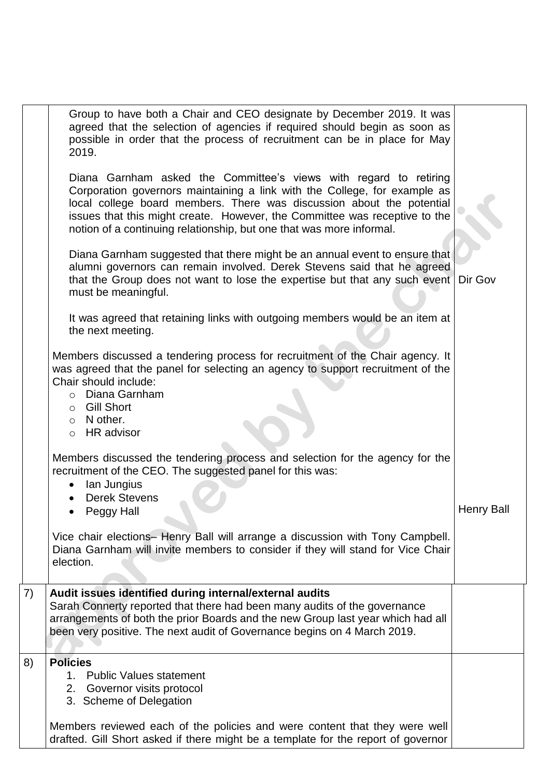|    | Group to have both a Chair and CEO designate by December 2019. It was<br>agreed that the selection of agencies if required should begin as soon as<br>possible in order that the process of recruitment can be in place for May<br>2019.                                                                                                                                      |                   |
|----|-------------------------------------------------------------------------------------------------------------------------------------------------------------------------------------------------------------------------------------------------------------------------------------------------------------------------------------------------------------------------------|-------------------|
|    | Diana Garnham asked the Committee's views with regard to retiring<br>Corporation governors maintaining a link with the College, for example as<br>local college board members. There was discussion about the potential<br>issues that this might create. However, the Committee was receptive to the<br>notion of a continuing relationship, but one that was more informal. |                   |
|    | Diana Garnham suggested that there might be an annual event to ensure that<br>alumni governors can remain involved. Derek Stevens said that he agreed<br>that the Group does not want to lose the expertise but that any such event<br>must be meaningful.                                                                                                                    | Dir Gov           |
|    | It was agreed that retaining links with outgoing members would be an item at<br>the next meeting.                                                                                                                                                                                                                                                                             |                   |
|    | Members discussed a tendering process for recruitment of the Chair agency. It<br>was agreed that the panel for selecting an agency to support recruitment of the<br>Chair should include:<br>o Diana Garnham<br>○ Gill Short<br>$\circ$ N other.<br>$\circ$ HR advisor                                                                                                        |                   |
|    | Members discussed the tendering process and selection for the agency for the<br>recruitment of the CEO. The suggested panel for this was:<br>lan Jungius<br><b>Derek Stevens</b><br>Peggy Hall                                                                                                                                                                                | <b>Henry Ball</b> |
|    | Vice chair elections- Henry Ball will arrange a discussion with Tony Campbell.<br>Diana Garnham will invite members to consider if they will stand for Vice Chair<br>election.                                                                                                                                                                                                |                   |
| 7) | Audit issues identified during internal/external audits<br>Sarah Connerty reported that there had been many audits of the governance<br>arrangements of both the prior Boards and the new Group last year which had all<br>been very positive. The next audit of Governance begins on 4 March 2019.                                                                           |                   |
| 8) | <b>Policies</b><br>1. Public Values statement<br>2. Governor visits protocol<br>3. Scheme of Delegation                                                                                                                                                                                                                                                                       |                   |
|    | Members reviewed each of the policies and were content that they were well<br>drafted. Gill Short asked if there might be a template for the report of governor                                                                                                                                                                                                               |                   |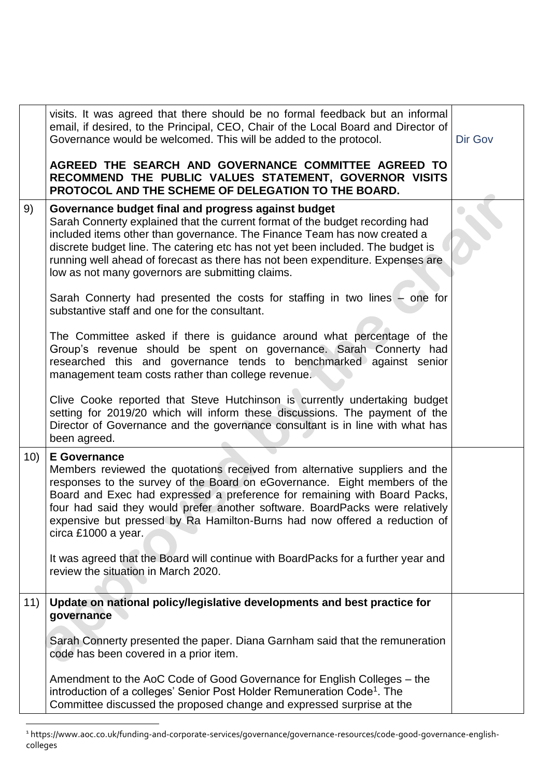|     | visits. It was agreed that there should be no formal feedback but an informal<br>email, if desired, to the Principal, CEO, Chair of the Local Board and Director of<br>Governance would be welcomed. This will be added to the protocol.<br>AGREED THE SEARCH AND GOVERNANCE COMMITTEE AGREED TO                                                                                                                                                 | Dir Gov |
|-----|--------------------------------------------------------------------------------------------------------------------------------------------------------------------------------------------------------------------------------------------------------------------------------------------------------------------------------------------------------------------------------------------------------------------------------------------------|---------|
|     | RECOMMEND THE PUBLIC VALUES STATEMENT, GOVERNOR VISITS<br>PROTOCOL AND THE SCHEME OF DELEGATION TO THE BOARD.                                                                                                                                                                                                                                                                                                                                    |         |
| 9)  | Governance budget final and progress against budget<br>Sarah Connerty explained that the current format of the budget recording had<br>included items other than governance. The Finance Team has now created a<br>discrete budget line. The catering etc has not yet been included. The budget is<br>running well ahead of forecast as there has not been expenditure. Expenses are<br>low as not many governors are submitting claims.         |         |
|     | Sarah Connerty had presented the costs for staffing in two lines – one for<br>substantive staff and one for the consultant.                                                                                                                                                                                                                                                                                                                      |         |
|     | The Committee asked if there is guidance around what percentage of the<br>Group's revenue should be spent on governance. Sarah Connerty had<br>researched this and governance tends to benchmarked against senior<br>management team costs rather than college revenue.                                                                                                                                                                          |         |
|     | Clive Cooke reported that Steve Hutchinson is currently undertaking budget<br>setting for 2019/20 which will inform these discussions. The payment of the<br>Director of Governance and the governance consultant is in line with what has<br>been agreed.                                                                                                                                                                                       |         |
| 10) | <b>E</b> Governance<br>Members reviewed the quotations received from alternative suppliers and the<br>responses to the survey of the Board on eGovernance. Eight members of the<br>Board and Exec had expressed a preference for remaining with Board Packs,<br>four had said they would prefer another software. BoardPacks were relatively<br>expensive but pressed by Ra Hamilton-Burns had now offered a reduction of<br>circa £1000 a year. |         |
|     | It was agreed that the Board will continue with BoardPacks for a further year and<br>review the situation in March 2020.                                                                                                                                                                                                                                                                                                                         |         |
| 11) | Update on national policy/legislative developments and best practice for<br>governance                                                                                                                                                                                                                                                                                                                                                           |         |
|     | Sarah Connerty presented the paper. Diana Garnham said that the remuneration<br>code has been covered in a prior item.                                                                                                                                                                                                                                                                                                                           |         |
|     | Amendment to the AoC Code of Good Governance for English Colleges – the<br>introduction of a colleges' Senior Post Holder Remuneration Code <sup>1</sup> . The<br>Committee discussed the proposed change and expressed surprise at the                                                                                                                                                                                                          |         |

 $\overline{a}$ <sup>1</sup> https://www.aoc.co.uk/funding-and-corporate-services/governance/governance-resources/code-good-governance-englishcolleges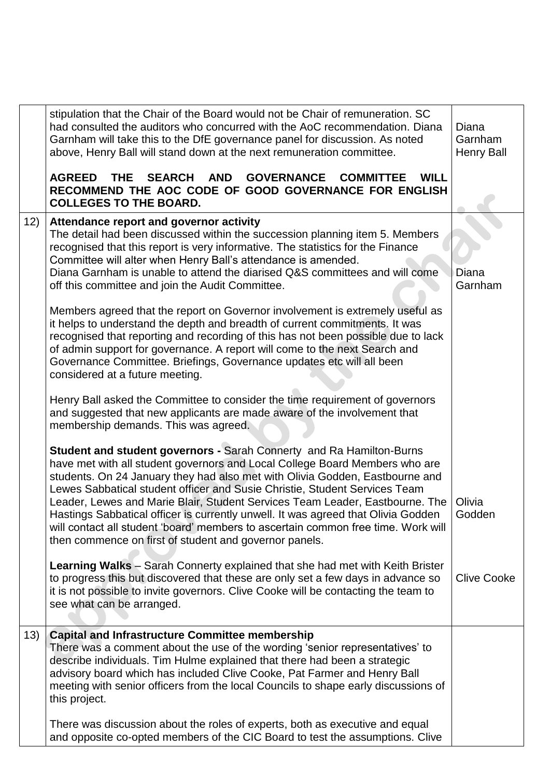|     | stipulation that the Chair of the Board would not be Chair of remuneration. SC<br>had consulted the auditors who concurred with the AoC recommendation. Diana<br>Garnham will take this to the DfE governance panel for discussion. As noted<br>above, Henry Ball will stand down at the next remuneration committee.                                                                                                                                                                                                                                                                                                                        | Diana<br>Garnham<br><b>Henry Ball</b> |
|-----|----------------------------------------------------------------------------------------------------------------------------------------------------------------------------------------------------------------------------------------------------------------------------------------------------------------------------------------------------------------------------------------------------------------------------------------------------------------------------------------------------------------------------------------------------------------------------------------------------------------------------------------------|---------------------------------------|
|     | SEARCH AND GOVERNANCE COMMITTEE<br><b>AGREED</b><br><b>THE</b><br><b>WILL</b><br>RECOMMEND THE AOC CODE OF GOOD GOVERNANCE FOR ENGLISH<br><b>COLLEGES TO THE BOARD.</b>                                                                                                                                                                                                                                                                                                                                                                                                                                                                      |                                       |
| 12) | Attendance report and governor activity<br>The detail had been discussed within the succession planning item 5. Members<br>recognised that this report is very informative. The statistics for the Finance<br>Committee will alter when Henry Ball's attendance is amended.<br>Diana Garnham is unable to attend the diarised Q&S committees and will come<br>off this committee and join the Audit Committee.                                                                                                                                                                                                                               | Diana<br>Garnham                      |
|     | Members agreed that the report on Governor involvement is extremely useful as<br>it helps to understand the depth and breadth of current commitments. It was<br>recognised that reporting and recording of this has not been possible due to lack<br>of admin support for governance. A report will come to the next Search and<br>Governance Committee. Briefings, Governance updates etc will all been<br>considered at a future meeting.                                                                                                                                                                                                  |                                       |
|     | Henry Ball asked the Committee to consider the time requirement of governors<br>and suggested that new applicants are made aware of the involvement that<br>membership demands. This was agreed.                                                                                                                                                                                                                                                                                                                                                                                                                                             |                                       |
|     | <b>Student and student governors - Sarah Connerty and Ra Hamilton-Burns</b><br>have met with all student governors and Local College Board Members who are<br>students. On 24 January they had also met with Olivia Godden, Eastbourne and<br>Lewes Sabbatical student officer and Susie Christie, Student Services Team<br>Leader, Lewes and Marie Blair, Student Services Team Leader, Eastbourne. The<br>Hastings Sabbatical officer is currently unwell. It was agreed that Olivia Godden<br>will contact all student 'board' members to ascertain common free time. Work will<br>then commence on first of student and governor panels. | Olivia<br>Godden                      |
|     | <b>Learning Walks</b> – Sarah Connerty explained that she had met with Keith Brister<br>to progress this but discovered that these are only set a few days in advance so<br>it is not possible to invite governors. Clive Cooke will be contacting the team to<br>see what can be arranged.                                                                                                                                                                                                                                                                                                                                                  | <b>Clive Cooke</b>                    |
| 13) | <b>Capital and Infrastructure Committee membership</b><br>There was a comment about the use of the wording 'senior representatives' to<br>describe individuals. Tim Hulme explained that there had been a strategic<br>advisory board which has included Clive Cooke, Pat Farmer and Henry Ball<br>meeting with senior officers from the local Councils to shape early discussions of<br>this project.                                                                                                                                                                                                                                       |                                       |
|     | There was discussion about the roles of experts, both as executive and equal<br>and opposite co-opted members of the CIC Board to test the assumptions. Clive                                                                                                                                                                                                                                                                                                                                                                                                                                                                                |                                       |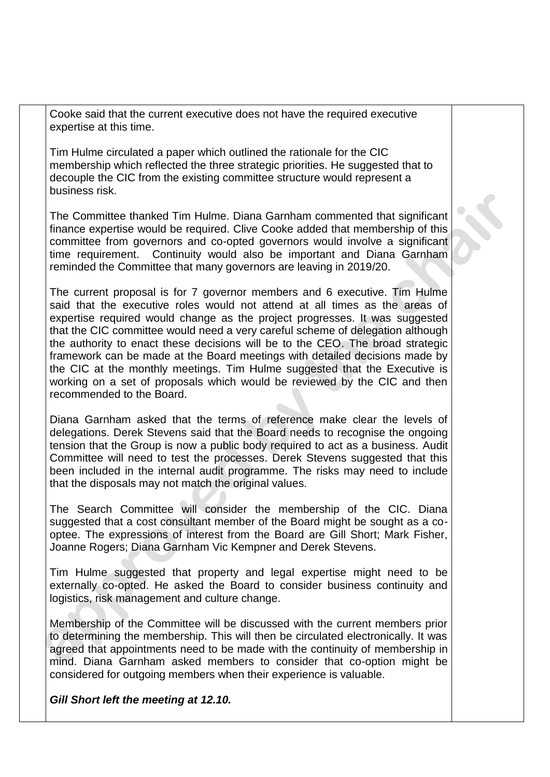Cooke said that the current executive does not have the required executive expertise at this time.

Tim Hulme circulated a paper which outlined the rationale for the CIC membership which reflected the three strategic priorities. He suggested that to decouple the CIC from the existing committee structure would represent a business risk.

The Committee thanked Tim Hulme. Diana Garnham commented that significant finance expertise would be required. Clive Cooke added that membership of this committee from governors and co-opted governors would involve a significant time requirement. Continuity would also be important and Diana Garnham reminded the Committee that many governors are leaving in 2019/20.

The current proposal is for 7 governor members and 6 executive. Tim Hulme said that the executive roles would not attend at all times as the areas of expertise required would change as the project progresses. It was suggested that the CIC committee would need a very careful scheme of delegation although the authority to enact these decisions will be to the CEO. The broad strategic framework can be made at the Board meetings with detailed decisions made by the CIC at the monthly meetings. Tim Hulme suggested that the Executive is working on a set of proposals which would be reviewed by the CIC and then recommended to the Board.

Diana Garnham asked that the terms of reference make clear the levels of delegations. Derek Stevens said that the Board needs to recognise the ongoing tension that the Group is now a public body required to act as a business. Audit Committee will need to test the processes. Derek Stevens suggested that this been included in the internal audit programme. The risks may need to include that the disposals may not match the original values.

The Search Committee will consider the membership of the CIC. Diana suggested that a cost consultant member of the Board might be sought as a cooptee. The expressions of interest from the Board are Gill Short; Mark Fisher, Joanne Rogers; Diana Garnham Vic Kempner and Derek Stevens.

Tim Hulme suggested that property and legal expertise might need to be externally co-opted. He asked the Board to consider business continuity and logistics, risk management and culture change.

Membership of the Committee will be discussed with the current members prior to determining the membership. This will then be circulated electronically. It was agreed that appointments need to be made with the continuity of membership in mind. Diana Garnham asked members to consider that co-option might be considered for outgoing members when their experience is valuable.

*Gill Short left the meeting at 12.10.*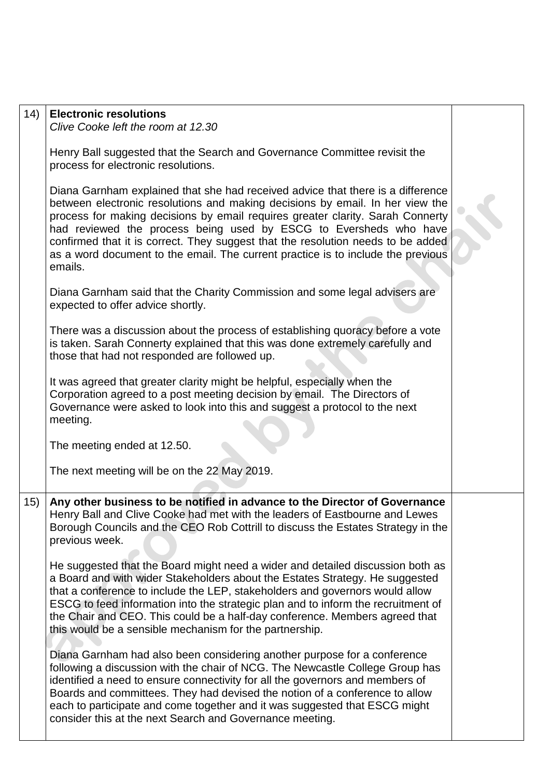| 14) | <b>Electronic resolutions</b><br>Clive Cooke left the room at 12.30                                                                                                                                                                                                                                                                                                                                                                                                                                        |  |
|-----|------------------------------------------------------------------------------------------------------------------------------------------------------------------------------------------------------------------------------------------------------------------------------------------------------------------------------------------------------------------------------------------------------------------------------------------------------------------------------------------------------------|--|
|     | Henry Ball suggested that the Search and Governance Committee revisit the<br>process for electronic resolutions.                                                                                                                                                                                                                                                                                                                                                                                           |  |
|     | Diana Garnham explained that she had received advice that there is a difference<br>between electronic resolutions and making decisions by email. In her view the<br>process for making decisions by email requires greater clarity. Sarah Connerty<br>had reviewed the process being used by ESCG to Eversheds who have<br>confirmed that it is correct. They suggest that the resolution needs to be added<br>as a word document to the email. The current practice is to include the previous<br>emails. |  |
|     | Diana Garnham said that the Charity Commission and some legal advisers are<br>expected to offer advice shortly.                                                                                                                                                                                                                                                                                                                                                                                            |  |
|     | There was a discussion about the process of establishing quoracy before a vote<br>is taken. Sarah Connerty explained that this was done extremely carefully and<br>those that had not responded are followed up.                                                                                                                                                                                                                                                                                           |  |
|     | It was agreed that greater clarity might be helpful, especially when the<br>Corporation agreed to a post meeting decision by email. The Directors of<br>Governance were asked to look into this and suggest a protocol to the next<br>meeting.                                                                                                                                                                                                                                                             |  |
|     | The meeting ended at 12.50.                                                                                                                                                                                                                                                                                                                                                                                                                                                                                |  |
|     | The next meeting will be on the 22 May 2019.                                                                                                                                                                                                                                                                                                                                                                                                                                                               |  |
| 15) | Any other business to be notified in advance to the Director of Governance<br>Henry Ball and Clive Cooke had met with the leaders of Eastbourne and Lewes<br>Borough Councils and the CEO Rob Cottrill to discuss the Estates Strategy in the<br>previous week.                                                                                                                                                                                                                                            |  |
|     | He suggested that the Board might need a wider and detailed discussion both as<br>a Board and with wider Stakeholders about the Estates Strategy. He suggested<br>that a conference to include the LEP, stakeholders and governors would allow<br>ESCG to feed information into the strategic plan and to inform the recruitment of<br>the Chair and CEO. This could be a half-day conference. Members agreed that<br>this would be a sensible mechanism for the partnership.                              |  |
|     | Diana Garnham had also been considering another purpose for a conference<br>following a discussion with the chair of NCG. The Newcastle College Group has<br>identified a need to ensure connectivity for all the governors and members of<br>Boards and committees. They had devised the notion of a conference to allow<br>each to participate and come together and it was suggested that ESCG might<br>consider this at the next Search and Governance meeting.                                        |  |